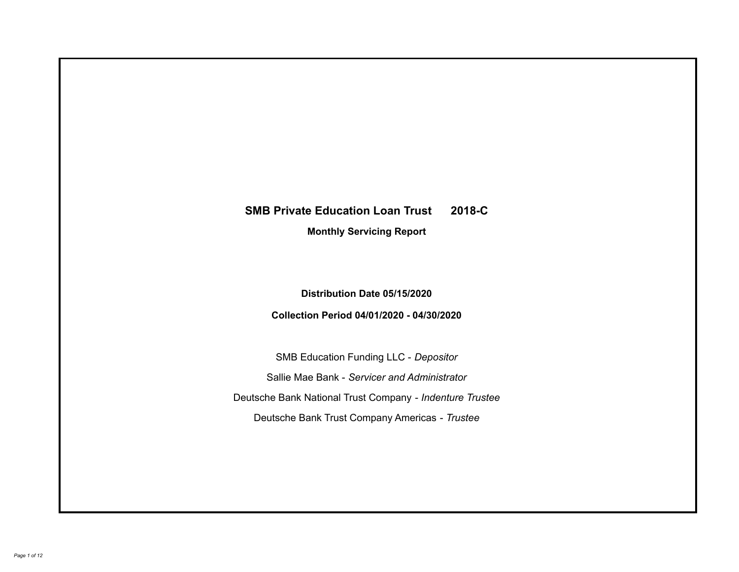# **SMB Private Education Loan Trust 2018-C Monthly Servicing Report**

**Distribution Date 05/15/2020**

**Collection Period 04/01/2020 - 04/30/2020**

SMB Education Funding LLC - *Depositor* Sallie Mae Bank - *Servicer and Administrator* Deutsche Bank National Trust Company - *Indenture Trustee* Deutsche Bank Trust Company Americas - *Trustee*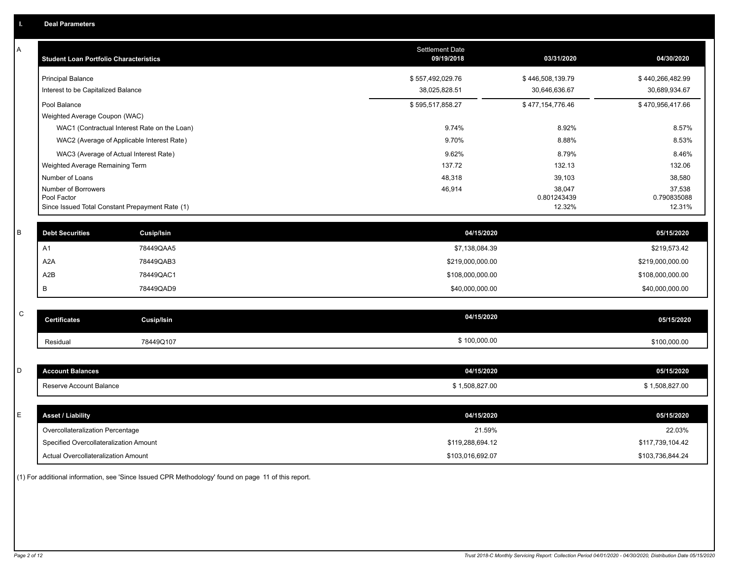| A           | <b>Student Loan Portfolio Characteristics</b>   |                                              | <b>Settlement Date</b><br>09/19/2018 | 03/31/2020            | 04/30/2020            |
|-------------|-------------------------------------------------|----------------------------------------------|--------------------------------------|-----------------------|-----------------------|
|             | <b>Principal Balance</b>                        |                                              | \$557,492,029.76                     | \$446,508,139.79      | \$440,266,482.99      |
|             | Interest to be Capitalized Balance              |                                              | 38,025,828.51                        | 30,646,636.67         | 30,689,934.67         |
|             | Pool Balance                                    |                                              | \$595,517,858.27                     | \$477,154,776.46      | \$470,956,417.66      |
|             | Weighted Average Coupon (WAC)                   |                                              |                                      |                       |                       |
|             |                                                 | WAC1 (Contractual Interest Rate on the Loan) | 9.74%                                | 8.92%                 | 8.57%                 |
|             | WAC2 (Average of Applicable Interest Rate)      |                                              | 9.70%                                | 8.88%                 | 8.53%                 |
|             | WAC3 (Average of Actual Interest Rate)          |                                              | 9.62%                                | 8.79%                 | 8.46%                 |
|             | Weighted Average Remaining Term                 |                                              | 137.72                               | 132.13                | 132.06                |
|             | Number of Loans                                 |                                              | 48,318                               | 39,103                | 38,580                |
|             | Number of Borrowers<br>Pool Factor              |                                              | 46,914                               | 38,047<br>0.801243439 | 37,538<br>0.790835088 |
|             | Since Issued Total Constant Prepayment Rate (1) |                                              |                                      | 12.32%                | 12.31%                |
| $\mathsf B$ | <b>Debt Securities</b>                          |                                              | 04/15/2020                           |                       | 05/15/2020            |
|             |                                                 | Cusip/Isin                                   |                                      |                       |                       |
|             | A1                                              | 78449QAA5                                    | \$7,138,084.39                       |                       | \$219,573.42          |
|             | A <sub>2</sub> A                                | 78449QAB3                                    | \$219,000,000.00                     |                       | \$219,000,000.00      |
|             | A <sub>2</sub> B                                | 78449QAC1                                    | \$108,000,000.00                     |                       | \$108,000,000.00      |
|             | В                                               | 78449QAD9                                    | \$40,000,000.00                      |                       | \$40,000,000.00       |
| $\mathsf C$ |                                                 |                                              |                                      |                       |                       |
|             | <b>Certificates</b>                             | <b>Cusip/Isin</b>                            | 04/15/2020                           |                       | 05/15/2020            |
|             | Residual                                        | 78449Q107                                    | \$100,000.00                         |                       | \$100,000.00          |
|             |                                                 |                                              |                                      |                       |                       |
| D           | <b>Account Balances</b>                         |                                              | 04/15/2020                           |                       | 05/15/2020            |
|             | Reserve Account Balance                         |                                              | \$1,508,827.00                       |                       | \$1,508,827.00        |
|             |                                                 |                                              |                                      |                       |                       |
| Ε           | <b>Asset / Liability</b>                        |                                              | 04/15/2020                           |                       | 05/15/2020            |
|             | Overcollateralization Percentage                |                                              | 21.59%                               |                       | 22.03%                |
|             | Specified Overcollateralization Amount          |                                              | \$119,288,694.12                     |                       | \$117,739,104.42      |
|             | Actual Overcollateralization Amount             |                                              | \$103,016,692.07                     |                       | \$103,736,844.24      |

(1) For additional information, see 'Since Issued CPR Methodology' found on page 11 of this report.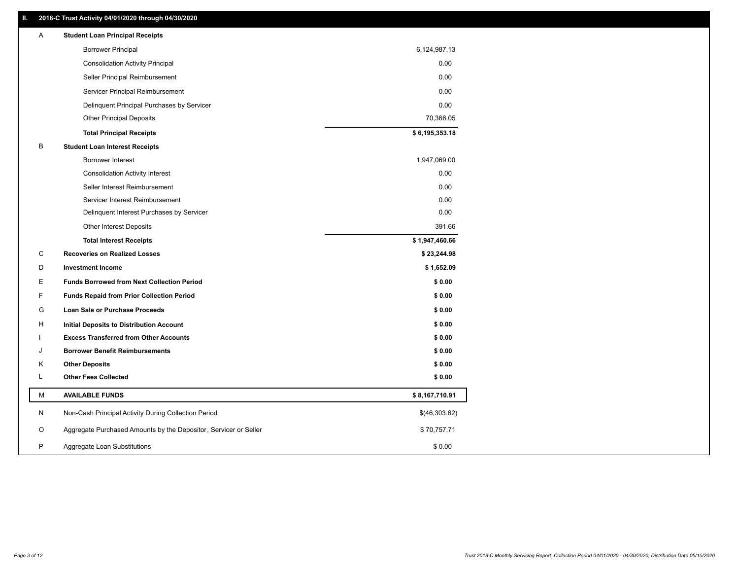# **II. 2018-C Trust Activity 04/01/2020 through 04/30/2020**

| <b>Borrower Principal</b><br>6,124,987.13<br><b>Consolidation Activity Principal</b><br>Seller Principal Reimbursement<br>Servicer Principal Reimbursement<br>Delinquent Principal Purchases by Servicer<br>70,366.05<br><b>Other Principal Deposits</b><br>\$6,195,353.18<br><b>Total Principal Receipts</b><br>B<br><b>Student Loan Interest Receipts</b><br>1,947,069.00<br><b>Borrower Interest</b><br><b>Consolidation Activity Interest</b><br>Seller Interest Reimbursement |        |
|------------------------------------------------------------------------------------------------------------------------------------------------------------------------------------------------------------------------------------------------------------------------------------------------------------------------------------------------------------------------------------------------------------------------------------------------------------------------------------|--------|
|                                                                                                                                                                                                                                                                                                                                                                                                                                                                                    |        |
|                                                                                                                                                                                                                                                                                                                                                                                                                                                                                    | 0.00   |
|                                                                                                                                                                                                                                                                                                                                                                                                                                                                                    | 0.00   |
|                                                                                                                                                                                                                                                                                                                                                                                                                                                                                    | 0.00   |
|                                                                                                                                                                                                                                                                                                                                                                                                                                                                                    | 0.00   |
|                                                                                                                                                                                                                                                                                                                                                                                                                                                                                    |        |
|                                                                                                                                                                                                                                                                                                                                                                                                                                                                                    |        |
|                                                                                                                                                                                                                                                                                                                                                                                                                                                                                    |        |
|                                                                                                                                                                                                                                                                                                                                                                                                                                                                                    |        |
|                                                                                                                                                                                                                                                                                                                                                                                                                                                                                    | 0.00   |
|                                                                                                                                                                                                                                                                                                                                                                                                                                                                                    | 0.00   |
| Servicer Interest Reimbursement                                                                                                                                                                                                                                                                                                                                                                                                                                                    | 0.00   |
| Delinquent Interest Purchases by Servicer                                                                                                                                                                                                                                                                                                                                                                                                                                          | 0.00   |
| <b>Other Interest Deposits</b>                                                                                                                                                                                                                                                                                                                                                                                                                                                     | 391.66 |
| \$1,947,460.66<br><b>Total Interest Receipts</b>                                                                                                                                                                                                                                                                                                                                                                                                                                   |        |
| C<br><b>Recoveries on Realized Losses</b><br>\$23,244.98                                                                                                                                                                                                                                                                                                                                                                                                                           |        |
| D<br>\$1,652.09<br><b>Investment Income</b>                                                                                                                                                                                                                                                                                                                                                                                                                                        |        |
| E<br><b>Funds Borrowed from Next Collection Period</b>                                                                                                                                                                                                                                                                                                                                                                                                                             | \$0.00 |
| F<br><b>Funds Repaid from Prior Collection Period</b>                                                                                                                                                                                                                                                                                                                                                                                                                              | \$0.00 |
| G<br>Loan Sale or Purchase Proceeds                                                                                                                                                                                                                                                                                                                                                                                                                                                | \$0.00 |
| н<br><b>Initial Deposits to Distribution Account</b>                                                                                                                                                                                                                                                                                                                                                                                                                               | \$0.00 |
| <b>Excess Transferred from Other Accounts</b>                                                                                                                                                                                                                                                                                                                                                                                                                                      | \$0.00 |
| <b>Borrower Benefit Reimbursements</b><br>J                                                                                                                                                                                                                                                                                                                                                                                                                                        | \$0.00 |
| κ<br><b>Other Deposits</b>                                                                                                                                                                                                                                                                                                                                                                                                                                                         | \$0.00 |
| L<br><b>Other Fees Collected</b>                                                                                                                                                                                                                                                                                                                                                                                                                                                   | \$0.00 |
| М<br><b>AVAILABLE FUNDS</b><br>\$8,167,710.91                                                                                                                                                                                                                                                                                                                                                                                                                                      |        |
| N<br>Non-Cash Principal Activity During Collection Period<br>\$(46,303.62)                                                                                                                                                                                                                                                                                                                                                                                                         |        |
| Aggregate Purchased Amounts by the Depositor, Servicer or Seller<br>O<br>\$70,757.71                                                                                                                                                                                                                                                                                                                                                                                               |        |
| P<br>\$0.00<br>Aggregate Loan Substitutions                                                                                                                                                                                                                                                                                                                                                                                                                                        |        |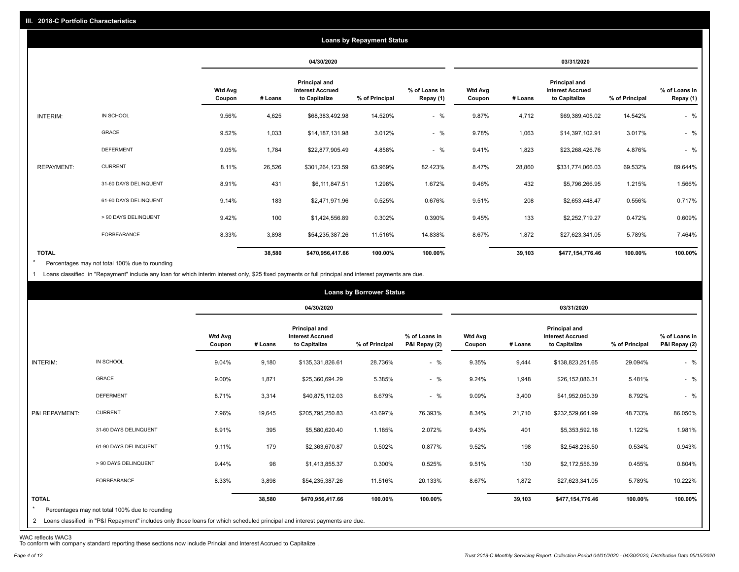|                   |                       |                          |         |                                                           | <b>Loans by Repayment Status</b> |                            |                          |         |                                                           |                |                            |
|-------------------|-----------------------|--------------------------|---------|-----------------------------------------------------------|----------------------------------|----------------------------|--------------------------|---------|-----------------------------------------------------------|----------------|----------------------------|
|                   |                       |                          |         | 04/30/2020                                                |                                  |                            |                          |         | 03/31/2020                                                |                |                            |
|                   |                       | <b>Wtd Avg</b><br>Coupon | # Loans | Principal and<br><b>Interest Accrued</b><br>to Capitalize | % of Principal                   | % of Loans in<br>Repay (1) | <b>Wtd Avg</b><br>Coupon | # Loans | Principal and<br><b>Interest Accrued</b><br>to Capitalize | % of Principal | % of Loans in<br>Repay (1) |
| INTERIM:          | IN SCHOOL             | 9.56%                    | 4,625   | \$68,383,492.98                                           | 14.520%                          | $-$ %                      | 9.87%                    | 4,712   | \$69,389,405.02                                           | 14.542%        | $-$ %                      |
|                   | <b>GRACE</b>          | 9.52%                    | 1,033   | \$14,187,131.98                                           | 3.012%                           | $-$ %                      | 9.78%                    | 1,063   | \$14,397,102.91                                           | 3.017%         | $-$ %                      |
|                   | <b>DEFERMENT</b>      | 9.05%                    | 1,784   | \$22,877,905.49                                           | 4.858%                           | $-$ %                      | 9.41%                    | 1,823   | \$23,268,426.76                                           | 4.876%         | $-$ %                      |
| <b>REPAYMENT:</b> | <b>CURRENT</b>        | 8.11%                    | 26,526  | \$301,264,123.59                                          | 63.969%                          | 82.423%                    | 8.47%                    | 28,860  | \$331,774,066.03                                          | 69.532%        | 89.644%                    |
|                   | 31-60 DAYS DELINQUENT | 8.91%                    | 431     | \$6,111,847.51                                            | 1.298%                           | 1.672%                     | 9.46%                    | 432     | \$5,796,266.95                                            | 1.215%         | 1.566%                     |
|                   | 61-90 DAYS DELINQUENT | 9.14%                    | 183     | \$2,471,971.96                                            | 0.525%                           | 0.676%                     | 9.51%                    | 208     | \$2,653,448.47                                            | 0.556%         | 0.717%                     |
|                   | > 90 DAYS DELINQUENT  | 9.42%                    | 100     | \$1,424,556.89                                            | 0.302%                           | 0.390%                     | 9.45%                    | 133     | \$2,252,719.27                                            | 0.472%         | 0.609%                     |
|                   | FORBEARANCE           | 8.33%                    | 3,898   | \$54,235,387.26                                           | 11.516%                          | 14.838%                    | 8.67%                    | 1,872   | \$27,623,341.05                                           | 5.789%         | 7.464%                     |
| <b>TOTAL</b>      |                       |                          | 38,580  | \$470,956,417.66                                          | 100.00%                          | 100.00%                    |                          | 39,103  | \$477,154,776.46                                          | 100.00%        | 100.00%                    |

Percentages may not total 100% due to rounding  $\star$ 

1 Loans classified in "Repayment" include any loan for which interim interest only, \$25 fixed payments or full principal and interest payments are due.

|                         |                                                                                                                              |                          |         |                                                           | <b>Loans by Borrower Status</b> |                                |                          |         |                                                           |                |                                |
|-------------------------|------------------------------------------------------------------------------------------------------------------------------|--------------------------|---------|-----------------------------------------------------------|---------------------------------|--------------------------------|--------------------------|---------|-----------------------------------------------------------|----------------|--------------------------------|
|                         |                                                                                                                              |                          |         | 04/30/2020                                                |                                 |                                |                          |         | 03/31/2020                                                |                |                                |
|                         |                                                                                                                              | <b>Wtd Avg</b><br>Coupon | # Loans | Principal and<br><b>Interest Accrued</b><br>to Capitalize | % of Principal                  | % of Loans in<br>P&I Repay (2) | <b>Wtd Avg</b><br>Coupon | # Loans | Principal and<br><b>Interest Accrued</b><br>to Capitalize | % of Principal | % of Loans in<br>P&I Repay (2) |
| INTERIM:                | IN SCHOOL                                                                                                                    | 9.04%                    | 9,180   | \$135,331,826.61                                          | 28.736%                         | $-$ %                          | 9.35%                    | 9,444   | \$138,823,251.65                                          | 29.094%        | $-$ %                          |
|                         | GRACE                                                                                                                        | 9.00%                    | 1,871   | \$25,360,694.29                                           | 5.385%                          | $-$ %                          | 9.24%                    | 1,948   | \$26,152,086.31                                           | 5.481%         | $-$ %                          |
|                         | <b>DEFERMENT</b>                                                                                                             | 8.71%                    | 3,314   | \$40,875,112.03                                           | 8.679%                          | $-$ %                          | 9.09%                    | 3,400   | \$41,952,050.39                                           | 8.792%         | $-$ %                          |
| P&I REPAYMENT:          | <b>CURRENT</b>                                                                                                               | 7.96%                    | 19,645  | \$205,795,250.83                                          | 43.697%                         | 76.393%                        | 8.34%                    | 21,710  | \$232,529,661.99                                          | 48.733%        | 86.050%                        |
|                         | 31-60 DAYS DELINQUENT                                                                                                        | 8.91%                    | 395     | \$5,580,620.40                                            | 1.185%                          | 2.072%                         | 9.43%                    | 401     | \$5,353,592.18                                            | 1.122%         | 1.981%                         |
|                         | 61-90 DAYS DELINQUENT                                                                                                        | 9.11%                    | 179     | \$2,363,670.87                                            | 0.502%                          | 0.877%                         | 9.52%                    | 198     | \$2,548,236.50                                            | 0.534%         | 0.943%                         |
|                         | > 90 DAYS DELINQUENT                                                                                                         | 9.44%                    | 98      | \$1,413,855.37                                            | 0.300%                          | 0.525%                         | 9.51%                    | 130     | \$2,172,556.39                                            | 0.455%         | 0.804%                         |
|                         | <b>FORBEARANCE</b>                                                                                                           | 8.33%                    | 3,898   | \$54,235,387.26                                           | 11.516%                         | 20.133%                        | 8.67%                    | 1,872   | \$27,623,341.05                                           | 5.789%         | 10.222%                        |
| <b>TOTAL</b><br>$\star$ | Percentages may not total 100% due to rounding                                                                               |                          | 38,580  | \$470,956,417.66                                          | 100.00%                         | 100.00%                        |                          | 39,103  | \$477,154,776.46                                          | 100.00%        | 100.00%                        |
|                         | 2 Loans classified in "P&I Repayment" includes only those loans for which scheduled principal and interest payments are due. |                          |         |                                                           |                                 |                                |                          |         |                                                           |                |                                |

WAC reflects WAC3 To conform with company standard reporting these sections now include Princial and Interest Accrued to Capitalize .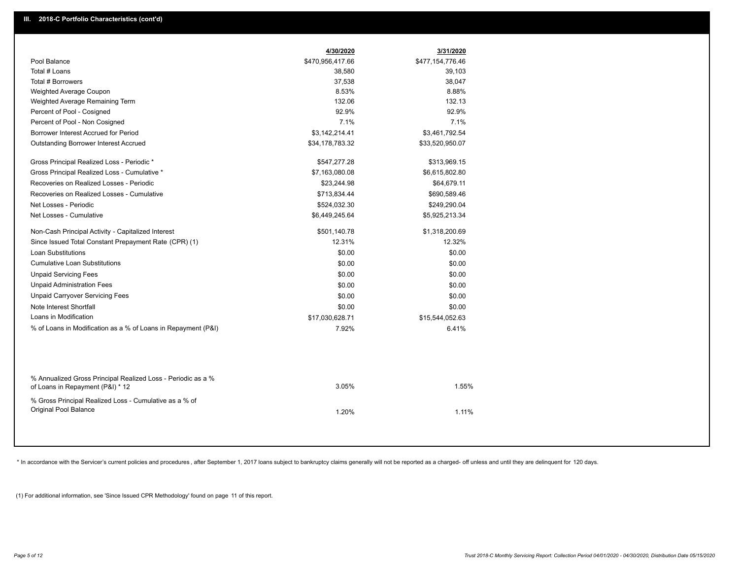|                                                                                                  | 4/30/2020        | 3/31/2020        |  |
|--------------------------------------------------------------------------------------------------|------------------|------------------|--|
| Pool Balance                                                                                     | \$470,956,417.66 | \$477,154,776.46 |  |
| Total # Loans                                                                                    | 38,580           | 39,103           |  |
| Total # Borrowers                                                                                | 37,538           | 38,047           |  |
| Weighted Average Coupon                                                                          | 8.53%            | 8.88%            |  |
| Weighted Average Remaining Term                                                                  | 132.06           | 132.13           |  |
| Percent of Pool - Cosigned                                                                       | 92.9%            | 92.9%            |  |
| Percent of Pool - Non Cosigned                                                                   | 7.1%             | 7.1%             |  |
| Borrower Interest Accrued for Period                                                             | \$3,142,214.41   | \$3,461,792.54   |  |
| <b>Outstanding Borrower Interest Accrued</b>                                                     | \$34,178,783.32  | \$33,520,950.07  |  |
| Gross Principal Realized Loss - Periodic *                                                       | \$547,277.28     | \$313,969.15     |  |
| Gross Principal Realized Loss - Cumulative *                                                     | \$7,163,080.08   | \$6,615,802.80   |  |
| Recoveries on Realized Losses - Periodic                                                         | \$23,244.98      | \$64,679.11      |  |
| Recoveries on Realized Losses - Cumulative                                                       | \$713,834.44     | \$690,589.46     |  |
| Net Losses - Periodic                                                                            | \$524,032.30     | \$249,290.04     |  |
| Net Losses - Cumulative                                                                          | \$6,449,245.64   | \$5,925,213.34   |  |
| Non-Cash Principal Activity - Capitalized Interest                                               | \$501,140.78     | \$1,318,200.69   |  |
| Since Issued Total Constant Prepayment Rate (CPR) (1)                                            | 12.31%           | 12.32%           |  |
| <b>Loan Substitutions</b>                                                                        | \$0.00           | \$0.00           |  |
| <b>Cumulative Loan Substitutions</b>                                                             | \$0.00           | \$0.00           |  |
| <b>Unpaid Servicing Fees</b>                                                                     | \$0.00           | \$0.00           |  |
| <b>Unpaid Administration Fees</b>                                                                | \$0.00           | \$0.00           |  |
| <b>Unpaid Carryover Servicing Fees</b>                                                           | \$0.00           | \$0.00           |  |
| Note Interest Shortfall                                                                          | \$0.00           | \$0.00           |  |
| Loans in Modification                                                                            | \$17,030,628.71  | \$15,544,052.63  |  |
| % of Loans in Modification as a % of Loans in Repayment (P&I)                                    | 7.92%            | 6.41%            |  |
|                                                                                                  |                  |                  |  |
| % Annualized Gross Principal Realized Loss - Periodic as a %<br>of Loans in Repayment (P&I) * 12 | 3.05%            | 1.55%            |  |
| % Gross Principal Realized Loss - Cumulative as a % of                                           |                  |                  |  |
| Original Pool Balance                                                                            | 1.20%            | 1.11%            |  |
|                                                                                                  |                  |                  |  |

\* In accordance with the Servicer's current policies and procedures, after September 1, 2017 loans subject to bankruptcy claims generally will not be reported as a charged- off unless and until they are delinquent for 120

(1) For additional information, see 'Since Issued CPR Methodology' found on page 11 of this report.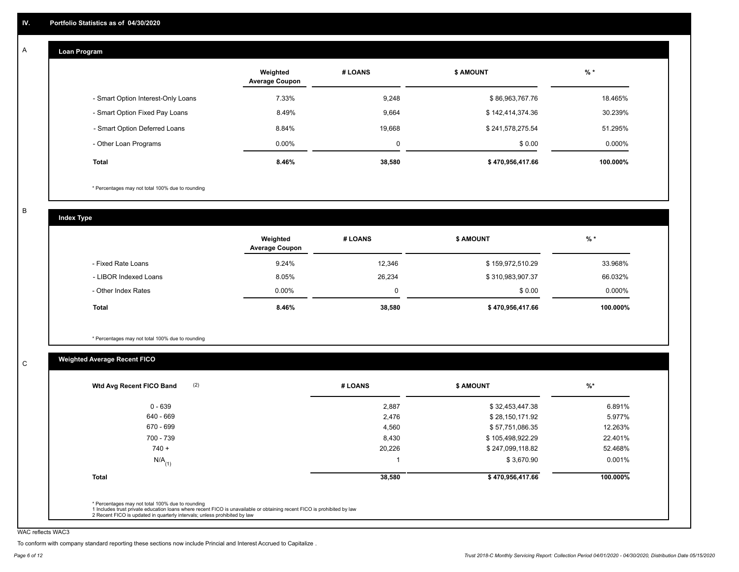#### **Loan Program**  A

|                                    | Weighted<br><b>Average Coupon</b> | # LOANS     | <b>\$ AMOUNT</b> | $%$ *    |
|------------------------------------|-----------------------------------|-------------|------------------|----------|
| - Smart Option Interest-Only Loans | 7.33%                             | 9,248       | \$86,963,767.76  | 18.465%  |
| - Smart Option Fixed Pay Loans     | 8.49%                             | 9,664       | \$142,414,374.36 | 30.239%  |
| - Smart Option Deferred Loans      | 8.84%                             | 19,668      | \$241,578,275.54 | 51.295%  |
| - Other Loan Programs              | $0.00\%$                          | $\mathbf 0$ | \$0.00           | 0.000%   |
| <b>Total</b>                       | 8.46%                             | 38,580      | \$470,956,417.66 | 100.000% |

\* Percentages may not total 100% due to rounding

B

C

**Index Type**

|                       | Weighted<br><b>Average Coupon</b> | # LOANS | <b>\$ AMOUNT</b> | $%$ *     |
|-----------------------|-----------------------------------|---------|------------------|-----------|
| - Fixed Rate Loans    | 9.24%                             | 12,346  | \$159,972,510.29 | 33.968%   |
| - LIBOR Indexed Loans | 8.05%                             | 26,234  | \$310,983,907.37 | 66.032%   |
| - Other Index Rates   | $0.00\%$                          | 0       | \$0.00           | $0.000\%$ |
| <b>Total</b>          | 8.46%                             | 38,580  | \$470,956,417.66 | 100.000%  |

\* Percentages may not total 100% due to rounding

# **Weighted Average Recent FICO**

| 2,887<br>2,476 | \$32,453,447.38  | 6.891%   |
|----------------|------------------|----------|
|                |                  |          |
|                | \$28,150,171.92  | 5.977%   |
| 4,560          | \$57,751,086.35  | 12.263%  |
| 8,430          | \$105,498,922.29 | 22.401%  |
| 20,226         | \$247,099,118.82 | 52.468%  |
|                | \$3,670.90       | 0.001%   |
| 38,580         | \$470,956,417.66 | 100.000% |
|                |                  |          |

WAC reflects WAC3

To conform with company standard reporting these sections now include Princial and Interest Accrued to Capitalize .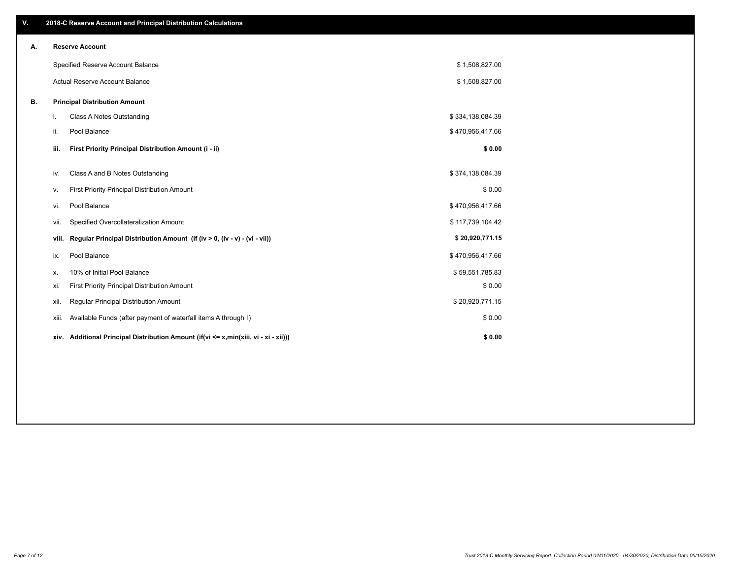| V. |       | 2018-C Reserve Account and Principal Distribution Calculations                            |                  |  |
|----|-------|-------------------------------------------------------------------------------------------|------------------|--|
| А. |       | <b>Reserve Account</b>                                                                    |                  |  |
|    |       | Specified Reserve Account Balance                                                         | \$1,508,827.00   |  |
|    |       | Actual Reserve Account Balance                                                            | \$1,508,827.00   |  |
| В. |       | <b>Principal Distribution Amount</b>                                                      |                  |  |
|    | i.    | Class A Notes Outstanding                                                                 | \$334,138,084.39 |  |
|    | ii.   | Pool Balance                                                                              | \$470,956,417.66 |  |
|    | iii.  | First Priority Principal Distribution Amount (i - ii)                                     | \$0.00           |  |
|    | iv.   | Class A and B Notes Outstanding                                                           | \$374,138,084.39 |  |
|    |       |                                                                                           |                  |  |
|    | v.    | First Priority Principal Distribution Amount                                              | \$0.00           |  |
|    | vi.   | Pool Balance                                                                              | \$470,956,417.66 |  |
|    | vii.  | Specified Overcollateralization Amount                                                    | \$117,739,104.42 |  |
|    |       | Regular Principal Distribution Amount (if (iv > 0, (iv - v) - (vi - vii))<br>viii.        | \$20,920,771.15  |  |
|    | ix.   | Pool Balance                                                                              | \$470,956,417.66 |  |
|    | х.    | 10% of Initial Pool Balance                                                               | \$59,551,785.83  |  |
|    | xi.   | First Priority Principal Distribution Amount                                              | \$0.00           |  |
|    | xii.  | Regular Principal Distribution Amount                                                     | \$20,920,771.15  |  |
|    | xiii. | Available Funds (after payment of waterfall items A through I)                            | \$0.00           |  |
|    |       | xiv. Additional Principal Distribution Amount (if(vi $\leq x$ ,min(xiii, vi - xi - xii))) | \$0.00           |  |
|    |       |                                                                                           |                  |  |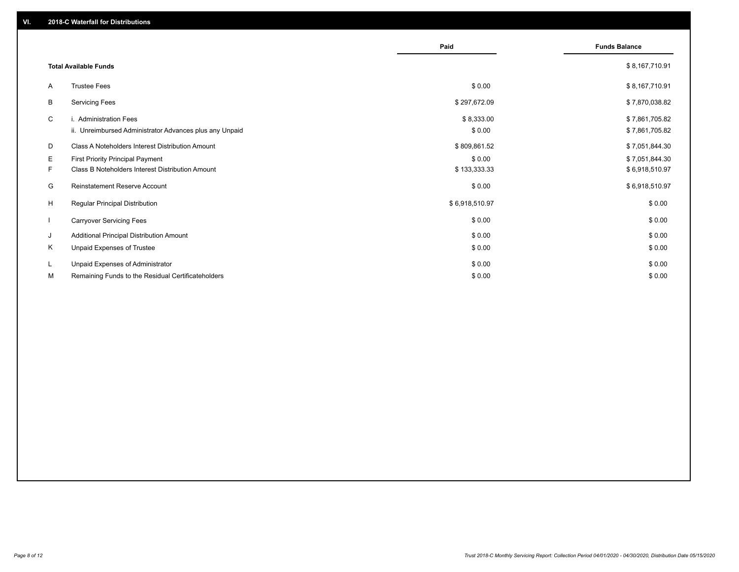|    |                                                                                   | Paid                 | <b>Funds Balance</b>             |
|----|-----------------------------------------------------------------------------------|----------------------|----------------------------------|
|    | <b>Total Available Funds</b>                                                      |                      | \$8,167,710.91                   |
| A  | <b>Trustee Fees</b>                                                               | \$0.00               | \$8,167,710.91                   |
| В  | <b>Servicing Fees</b>                                                             | \$297,672.09         | \$7,870,038.82                   |
| C  | i. Administration Fees<br>ii. Unreimbursed Administrator Advances plus any Unpaid | \$8,333.00<br>\$0.00 | \$7,861,705.82<br>\$7,861,705.82 |
| D  | Class A Noteholders Interest Distribution Amount                                  | \$809,861.52         | \$7,051,844.30                   |
| Е  | First Priority Principal Payment                                                  | \$0.00               | \$7,051,844.30                   |
| F. | <b>Class B Noteholders Interest Distribution Amount</b>                           | \$133,333.33         | \$6,918,510.97                   |
| G  | <b>Reinstatement Reserve Account</b>                                              | \$0.00               | \$6,918,510.97                   |
| H  | <b>Regular Principal Distribution</b>                                             | \$6,918,510.97       | \$0.00                           |
|    | <b>Carryover Servicing Fees</b>                                                   | \$0.00               | \$0.00                           |
| J  | Additional Principal Distribution Amount                                          | \$0.00               | \$0.00                           |
| Κ  | Unpaid Expenses of Trustee                                                        | \$0.00               | \$0.00                           |
| L  | Unpaid Expenses of Administrator                                                  | \$0.00               | \$0.00                           |
| М  | Remaining Funds to the Residual Certificateholders                                | \$0.00               | \$0.00                           |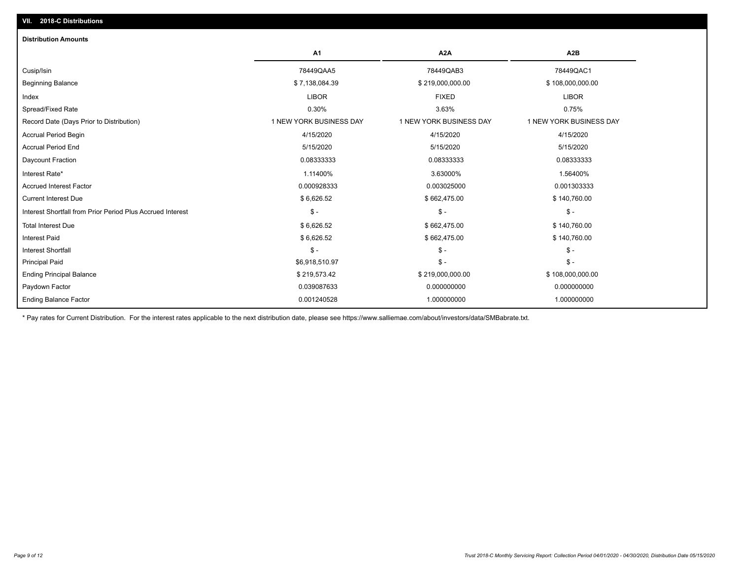| <b>Distribution Amounts</b>                                |                         |                         |                         |
|------------------------------------------------------------|-------------------------|-------------------------|-------------------------|
|                                                            | <b>A1</b>               | A <sub>2</sub> A        | A2B                     |
| Cusip/Isin                                                 | 78449QAA5               | 78449QAB3               | 78449QAC1               |
| <b>Beginning Balance</b>                                   | \$7,138,084.39          | \$219,000,000.00        | \$108,000,000.00        |
| Index                                                      | <b>LIBOR</b>            | <b>FIXED</b>            | <b>LIBOR</b>            |
| Spread/Fixed Rate                                          | 0.30%                   | 3.63%                   | 0.75%                   |
| Record Date (Days Prior to Distribution)                   | 1 NEW YORK BUSINESS DAY | 1 NEW YORK BUSINESS DAY | 1 NEW YORK BUSINESS DAY |
| <b>Accrual Period Begin</b>                                | 4/15/2020               | 4/15/2020               | 4/15/2020               |
| <b>Accrual Period End</b>                                  | 5/15/2020               | 5/15/2020               | 5/15/2020               |
| Daycount Fraction                                          | 0.08333333              | 0.08333333              | 0.08333333              |
| Interest Rate*                                             | 1.11400%                | 3.63000%                | 1.56400%                |
| <b>Accrued Interest Factor</b>                             | 0.000928333             | 0.003025000             | 0.001303333             |
| <b>Current Interest Due</b>                                | \$6,626.52              | \$662,475.00            | \$140,760.00            |
| Interest Shortfall from Prior Period Plus Accrued Interest | $\mathbb{S}$ -          | $\mathcal{S}$ -         | $$ -$                   |
| <b>Total Interest Due</b>                                  | \$6,626.52              | \$662,475.00            | \$140,760.00            |
| <b>Interest Paid</b>                                       | \$6,626.52              | \$662,475.00            | \$140,760.00            |
| <b>Interest Shortfall</b>                                  | $\mathcal{S}$ -         | $\mathsf{\$}$ -         | $$ -$                   |
| <b>Principal Paid</b>                                      | \$6,918,510.97          | $\mathcal{S}$ -         | $$ -$                   |
| <b>Ending Principal Balance</b>                            | \$219,573.42            | \$219,000,000.00        | \$108,000,000.00        |
| Paydown Factor                                             | 0.039087633             | 0.000000000             | 0.000000000             |
| <b>Ending Balance Factor</b>                               | 0.001240528             | 1.000000000             | 1.000000000             |

\* Pay rates for Current Distribution. For the interest rates applicable to the next distribution date, please see https://www.salliemae.com/about/investors/data/SMBabrate.txt.

**VII. 2018-C Distributions**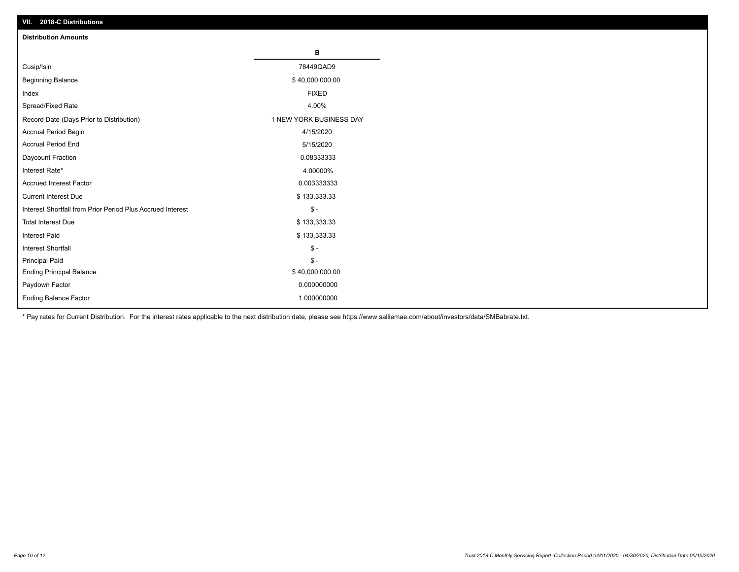| VII. ZU 10-U DISTIBUTURIS                                  |                         |
|------------------------------------------------------------|-------------------------|
| <b>Distribution Amounts</b>                                |                         |
|                                                            | В                       |
| Cusip/Isin                                                 | 78449QAD9               |
| <b>Beginning Balance</b>                                   | \$40,000,000.00         |
| Index                                                      | <b>FIXED</b>            |
| Spread/Fixed Rate                                          | 4.00%                   |
| Record Date (Days Prior to Distribution)                   | 1 NEW YORK BUSINESS DAY |
| Accrual Period Begin                                       | 4/15/2020               |
| <b>Accrual Period End</b>                                  | 5/15/2020               |
| Daycount Fraction                                          | 0.08333333              |
| Interest Rate*                                             | 4.00000%                |
| <b>Accrued Interest Factor</b>                             | 0.003333333             |
| <b>Current Interest Due</b>                                | \$133,333.33            |
| Interest Shortfall from Prior Period Plus Accrued Interest | $\mathcal{S}$ -         |
| <b>Total Interest Due</b>                                  | \$133,333.33            |
| <b>Interest Paid</b>                                       | \$133,333.33            |
| Interest Shortfall                                         | $\mathcal{S}$ -         |
| <b>Principal Paid</b>                                      | $\frac{1}{2}$           |
| <b>Ending Principal Balance</b>                            | \$40,000,000.00         |
| Paydown Factor                                             | 0.000000000             |
| <b>Ending Balance Factor</b>                               | 1.000000000             |

\* Pay rates for Current Distribution. For the interest rates applicable to the next distribution date, please see https://www.salliemae.com/about/investors/data/SMBabrate.txt.

**VII. 2018-C Distributions**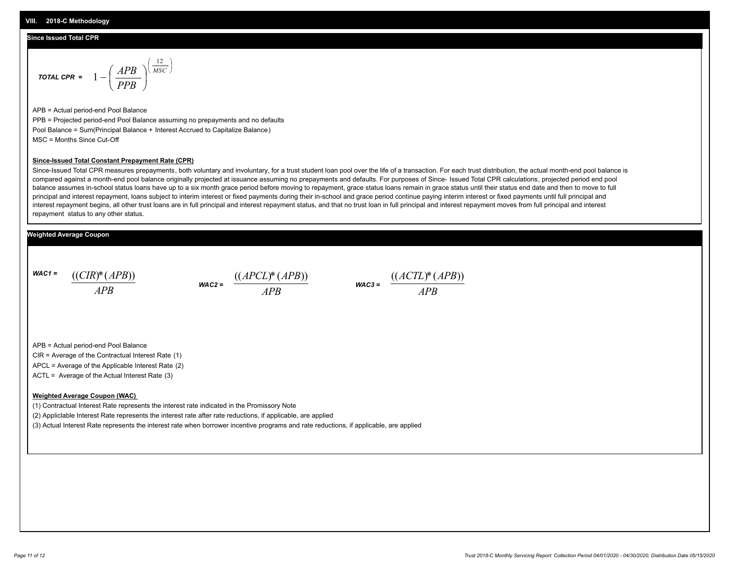### **Since Issued Total CPR**

$$
\text{total CPR} = 1 - \left(\frac{APB}{PPB}\right)^{\left(\frac{12}{MSC}\right)}
$$

APB = Actual period-end Pool Balance PPB = Projected period-end Pool Balance assuming no prepayments and no defaults Pool Balance = Sum(Principal Balance + Interest Accrued to Capitalize Balance) MSC = Months Since Cut-Off

#### **Since-Issued Total Constant Prepayment Rate (CPR)**

Since-Issued Total CPR measures prepayments, both voluntary and involuntary, for a trust student loan pool over the life of a transaction. For each trust distribution, the actual month-end pool balance is compared against a month-end pool balance originally projected at issuance assuming no prepayments and defaults. For purposes of Since- Issued Total CPR calculations, projected period end pool balance assumes in-school status loans have up to a six month grace period before moving to repayment, grace status loans remain in grace status until their status end date and then to move to full principal and interest repayment, loans subject to interim interest or fixed payments during their in-school and grace period continue paying interim interest or fixed payments until full principal and interest repayment begins, all other trust loans are in full principal and interest repayment status, and that no trust loan in full principal and interest repayment moves from full principal and interest repayment status to any other status.

### **Weighted Average Coupon**

*WAC1 = APB* ((*CIR*)\*(*APB*))





APB = Actual period-end Pool Balance

CIR = Average of the Contractual Interest Rate (1)

APCL = Average of the Applicable Interest Rate (2)

ACTL = Average of the Actual Interest Rate (3)

#### **Weighted Average Coupon (WAC)**

(1) Contractual Interest Rate represents the interest rate indicated in the Promissory Note

(2) Appliclable Interest Rate represents the interest rate after rate reductions, if applicable, are applied

(3) Actual Interest Rate represents the interest rate when borrower incentive programs and rate reductions, if applicable, are applied